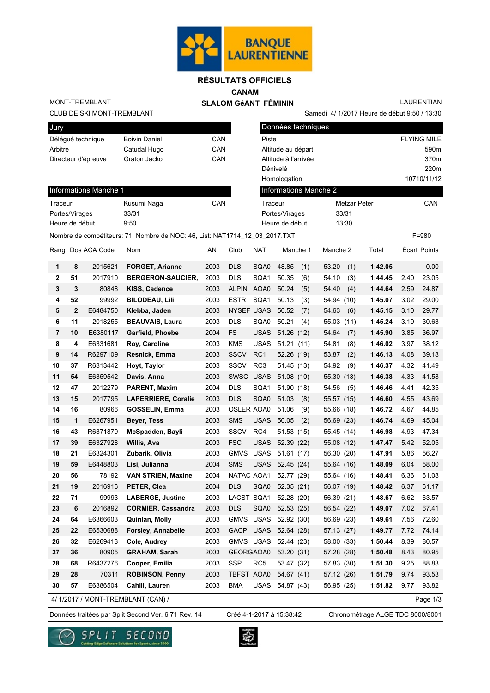

# **RÉSULTATS OFFICIELS**

**CANAM**

 **SLALOM GéANT FÉMININ**

LAURENTIAN

CLUB DE SKI MONT-TREMBLANT MONT-TREMBLANT

| Jury                |                      |     |
|---------------------|----------------------|-----|
| Délégué technique   | <b>Boivin Daniel</b> | CAN |
| Arbitre             | Catudal Hugo         | CAN |
| Directeur d'épreuve | Graton Jacko         | CAN |
|                     |                      |     |

| Jury                         |                                                                              |            | Données techniques    |                     |                    |
|------------------------------|------------------------------------------------------------------------------|------------|-----------------------|---------------------|--------------------|
| Déléqué technique            | <b>Boivin Daniel</b>                                                         | CAN        | Piste                 |                     | <b>FLYING MILE</b> |
| Arbitre                      | Catudal Hugo                                                                 | CAN        | Altitude au départ    |                     | 590 <sub>m</sub>   |
| Directeur d'épreuve          | Graton Jacko                                                                 | <b>CAN</b> | Altitude à l'arrivée  |                     | 370 <sub>m</sub>   |
|                              |                                                                              |            | Dénivelé              |                     | 220m               |
|                              |                                                                              |            | Homologation          |                     | 10710/11/12        |
| <b>Informations Manche 1</b> |                                                                              |            | Informations Manche 2 |                     |                    |
| Traceur                      | Kusumi Naga                                                                  | CAN        | Traceur               | <b>Metzar Peter</b> | CAN                |
| Portes/Virages               | 33/31                                                                        |            | Portes/Virages        | 33/31               |                    |
| Heure de début               | 9:50                                                                         |            | Heure de début        | 13:30               |                    |
|                              | Nombre de compétiteurs: 71, Nombre de NOC: 46, List: NAT1714 12 03 2017. TXT |            |                       |                     | $F = 980$          |

Samedi 4/ 1/2017 Heure de début 9:50 / 13:30

# Informations Manche 1

| Traceur        | Kusumi Naga | CAN |
|----------------|-------------|-----|
| Portes/Virages | 33/31       |     |
| Heure de début | 9:50        |     |
|                |             |     |

|                |             | Rang Dos ACA Code | Nom                                | AN   | Club              | <b>NAT</b>      |            | Manche 1 | Manche 2   |      | Total   |      | Écart Points |
|----------------|-------------|-------------------|------------------------------------|------|-------------------|-----------------|------------|----------|------------|------|---------|------|--------------|
| 1              | 8           | 2015621           | <b>FORGET, Arianne</b>             | 2003 | <b>DLS</b>        | SQA0            | 48.85      | (1)      | 53.20      | (1)  | 1:42.05 |      | 0.00         |
| $\mathbf 2$    | 51          | 2017910           | <b>BERGERON-SAUCIER,</b>           | 2003 | <b>DLS</b>        | SQA1 50.35      |            | (6)      | 54.10      | (3)  | 1:44.45 | 2.40 | 23.05        |
| $\mathbf{3}$   | 3           | 80848             | KISS, Cadence                      | 2003 | <b>ALPIN</b>      | AOA0            | 50.24      | (5)      | 54.40      | (4)  | 1:44.64 | 2.59 | 24.87        |
| 4              | 52          | 99992             | <b>BILODEAU, Lili</b>              | 2003 | <b>ESTR</b>       | SQA1            | 50.13      | (3)      | 54.94 (10) |      | 1:45.07 | 3.02 | 29.00        |
| 5              | $\mathbf 2$ | E6484750          | Klebba, Jaden                      | 2003 | <b>NYSEF USAS</b> |                 | 50.52      | (7)      | 54.63      | (6)  | 1:45.15 | 3.10 | 29.77        |
| 6              | 11          | 2018255           | <b>BEAUVAIS, Laura</b>             | 2003 | <b>DLS</b>        | SQA0            | 50.21      | (4)      | 55.03      | (11) | 1:45.24 | 3.19 | 30.63        |
| $\overline{7}$ | 10          | E6380117          | Garfield, Phoebe                   | 2004 | FS                | <b>USAS</b>     | 51.26(12)  |          | 54.64      | (7)  | 1:45.90 | 3.85 | 36.97        |
| 8              | 4           | E6331681          | Roy, Caroline                      | 2003 | <b>KMS</b>        | <b>USAS</b>     | 51.21(11)  |          | 54.81      | (8)  | 1:46.02 | 3.97 | 38.12        |
| 9              | 14          | R6297109          | Resnick, Emma                      | 2003 | <b>SSCV</b>       | RC1             | 52.26 (19) |          | 53.87      | (2)  | 1:46.13 | 4.08 | 39.18        |
| 10             | 37          | R6313442          | Hoyt, Taylor                       | 2003 | <b>SSCV</b>       | RC <sub>3</sub> | 51.45 (13) |          | 54.92      | (9)  | 1:46.37 | 4.32 | 41.49        |
| 11             | 54          | E6359542          | Davis, Anna                        | 2003 | SWSC USAS         |                 | 51.08(10)  |          | 55.30 (13) |      | 1:46.38 | 4.33 | 41.58        |
| 12             | 47          | 2012279           | PARENT, Maxim                      | 2004 | <b>DLS</b>        | SQA1            | 51.90 (18) |          | 54.56      | (5)  | 1:46.46 | 4.41 | 42.35        |
| 13             | 15          | 2017795           | <b>LAPERRIERE, Coralie</b>         | 2003 | <b>DLS</b>        | SQA0            | 51.03      | (8)      | 55.57 (15) |      | 1:46.60 | 4.55 | 43.69        |
| 14             | 16          | 80966             | <b>GOSSELIN, Emma</b>              | 2003 | <b>OSLER AOA0</b> |                 | 51.06      | (9)      | 55.66 (18) |      | 1:46.72 | 4.67 | 44.85        |
| 15             | 1           | E6267951          | Beyer, Tess                        | 2003 | <b>SMS</b>        | <b>USAS</b>     | 50.05      | (2)      | 56.69 (23) |      | 1:46.74 | 4.69 | 45.04        |
| 16             | 43          | R6371879          | McSpadden, Bayli                   | 2003 | <b>SSCV</b>       | RC4             | 51.53 (15) |          | 55.45 (14) |      | 1:46.98 | 4.93 | 47.34        |
| 17             | 39          | E6327928          | Willis, Ava                        | 2003 | <b>FSC</b>        | <b>USAS</b>     | 52.39 (22) |          | 55.08 (12) |      | 1:47.47 | 5.42 | 52.05        |
| 18             | 21          | E6324301          | Zubarik, Olivia                    | 2003 | GMVS USAS         |                 | 51.61(17)  |          | 56.30 (20) |      | 1:47.91 | 5.86 | 56.27        |
| 19             | 59          | E6448803          | Lisi, Julianna                     | 2004 | <b>SMS</b>        | <b>USAS</b>     | 52.45 (24) |          | 55.64 (16) |      | 1:48.09 | 6.04 | 58.00        |
| 20             | 56          | 78192             | <b>VAN STRIEN, Maxine</b>          | 2004 |                   | NATAC AOA1      | 52.77 (29) |          | 55.64 (16) |      | 1:48.41 | 6.36 | 61.08        |
| 21             | 19          | 2016916           | PETER, Clea                        | 2004 | <b>DLS</b>        | SQA0            | 52.35(21)  |          | 56.07 (19) |      | 1:48.42 | 6.37 | 61.17        |
| 22             | 71          | 99993             | <b>LABERGE, Justine</b>            | 2003 |                   | LACST SQA1      | 52.28 (20) |          | 56.39 (21) |      | 1:48.67 | 6.62 | 63.57        |
| 23             | 6           | 2016892           | <b>CORMIER, Cassandra</b>          | 2003 | <b>DLS</b>        | SQA0            | 52.53 (25) |          | 56.54 (22) |      | 1:49.07 | 7.02 | 67.41        |
| 24             | 64          | E6366603          | Quinlan, Molly                     | 2003 | <b>GMVS USAS</b>  |                 | 52.92 (30) |          | 56.69 (23) |      | 1:49.61 | 7.56 | 72.60        |
| 25             | 22          | E6530688          | Forsley, Annabelle                 | 2003 | <b>GACP</b>       | <b>USAS</b>     | 52.64 (28) |          | 57.13 (27) |      | 1:49.77 | 7.72 | 74.14        |
| 26             | 32          | E6269413          | Cole, Audrey                       | 2003 | <b>GMVS USAS</b>  |                 | 52.44 (23) |          | 58.00 (33) |      | 1:50.44 | 8.39 | 80.57        |
| 27             | 36          | 80905             | <b>GRAHAM, Sarah</b>               | 2003 | GEORGAOA0         |                 | 53.20 (31) |          | 57.28 (28) |      | 1:50.48 | 8.43 | 80.95        |
| 28             | 68          | R6437276          | Cooper, Emilia                     | 2003 | <b>SSP</b>        | RC <sub>5</sub> | 53.47 (32) |          | 57.83 (30) |      | 1:51.30 | 9.25 | 88.83        |
| 29             | 28          | 70311             | <b>ROBINSON, Penny</b>             | 2003 | <b>TBFST AOA0</b> |                 | 54.67 (41) |          | 57.12 (26) |      | 1:51.79 | 9.74 | 93.53        |
| 30             | 57          | E6386504          | Cahill, Lauren                     | 2003 | <b>BMA</b>        | <b>USAS</b>     | 54.87 (43) |          | 56.95 (25) |      | 1:51.82 | 9.77 | 93.82        |
|                |             |                   | 4/ 1/2017 / MONT-TREMBLANT (CAN) / |      |                   |                 |            |          |            |      |         |      | Page 1/3     |

4/ 1/2017 / MONT-TREMBLANT (CAN) /

Données traitées par Split Second Ver. 6.71 Rev. 14 Créé 4-1-2017 à 15:38:42 Chronométrage ALGE TDC 8000/8001 Créé 4-1-2017 à 15:38:42



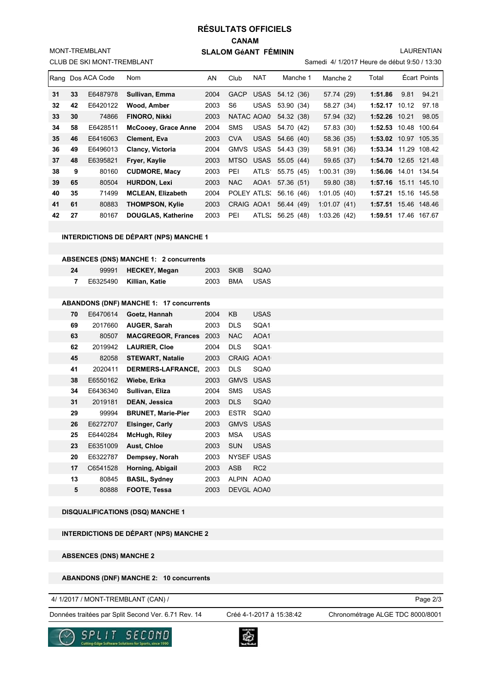## **CANAM SLALOM GéANT FÉMININ RÉSULTATS OFFICIELS**

LAURENTIAN

|  | CLUB DE SKI MONT-TREMBLANT |
|--|----------------------------|
|--|----------------------------|

MONT-TREMBLANT

Samedi 4/ 1/2017 Heure de début 9:50 / 13:30

|    |    | Rang Dos ACA Code | Nom                       | AN   | Club        | <b>NAT</b> | Manche 1               | Manche 2    | Total                |      | Écart Points |
|----|----|-------------------|---------------------------|------|-------------|------------|------------------------|-------------|----------------------|------|--------------|
| 31 | 33 | E6487978          | Sullivan, Emma            | 2004 | <b>GACP</b> |            | USAS 54.12 (36)        | 57.74 (29)  | 1:51.86              | 9.81 | 94.21        |
| 32 | 42 | E6420122          | Wood, Amber               | 2003 | S6          | USAS       | 53.90 (34)             | 58.27 (34)  | $1:52.17$ 10.12      |      | 97.18        |
| 33 | 30 | 74866             | FINORO, Nikki             | 2003 |             |            | NATAC AOA0 54.32 (38)  | 57.94 (32)  | $1:52.26$ 10.21      |      | 98.05        |
| 34 | 58 | E6428511          | McCooey, Grace Anne       | 2004 | <b>SMS</b>  |            | USAS 54.70 (42)        | 57.83 (30)  | 1:52.53 10.48 100.64 |      |              |
| 35 | 46 | E6416063          | Clement, Eva              | 2003 | <b>CVA</b>  |            | USAS 54.66 (40)        | 58.36 (35)  | 1:53.02 10.97 105.35 |      |              |
| 36 | 49 | E6496013          | Clancy, Victoria          | 2004 |             |            | GMVS USAS 54.43 (39)   | 58.91 (36)  | 1:53.34 11.29 108.42 |      |              |
| 37 | 48 | E6395821          | Fryer, Kaylie             | 2003 |             |            | MTSO USAS 55.05 (44)   | 59.65 (37)  | 1:54.70 12.65 121.48 |      |              |
| 38 | 9  | 80160             | <b>CUDMORE, Macy</b>      | 2003 | PEI         |            | ATLS 55.75 (45)        | 1:00.31(39) | 1:56.06 14.01 134.54 |      |              |
| 39 | 65 | 80504             | <b>HURDON, Lexi</b>       | 2003 | NAC         | AOA1       | 57.36 (51)             | 59.80 (38)  | 1:57.16 15.11 145.10 |      |              |
| 40 | 35 | 71499             | <b>MCLEAN, Elizabeth</b>  | 2004 |             |            | POLEY ATLS: 56.16 (46) | 1:01.05(40) | 1:57.21 15.16 145.58 |      |              |
| 41 | 61 | 80883             | <b>THOMPSON, Kylie</b>    | 2003 |             | CRAIG AOA1 | 56.44 (49)             | 1:01.07(41) | 1:57.51 15.46 148.46 |      |              |
| 42 | 27 | 80167             | <b>DOUGLAS, Katherine</b> | 2003 | PEI         |            | ATLS: 56.25 (48)       | 1:03.26(42) | 1:59.51 17.46 167.67 |      |              |

#### **INTERDICTIONS DE DÉPART (NPS) MANCHE 1**

#### **ABSENCES (DNS) MANCHE 1: 2 concurrents**

| 24 | 99991 HECKEY, Megan       |  | 2003 SKIB SQA0 |
|----|---------------------------|--|----------------|
|    | 7 E6325490 Killian, Katie |  | 2003 BMA USAS  |

### **ABANDONS (DNF) MANCHE 1: 17 concurrents**

| 70 | E6470614 | Goetz, Hannah             | 2004 | KB                | USAS            |
|----|----------|---------------------------|------|-------------------|-----------------|
| 69 | 2017660  | <b>AUGER, Sarah</b>       | 2003 | <b>DLS</b>        | SQA1            |
| 63 | 80507    | <b>MACGREGOR, Frances</b> | 2003 | <b>NAC</b>        | AOA1            |
| 62 | 2019942  | <b>LAURIER, Cloe</b>      | 2004 | <b>DLS</b>        | SQA1            |
| 45 | 82058    | <b>STEWART, Natalie</b>   | 2003 | <b>CRAIG</b>      | AOA1            |
| 41 | 2020411  | <b>DERMERS-LAFRANCE.</b>  | 2003 | <b>DLS</b>        | SQA0            |
| 38 | E6550162 | Wiebe, Erika              | 2003 | <b>GMVS</b>       | <b>USAS</b>     |
| 34 | E6436340 | Sullivan, Eliza           | 2004 | <b>SMS</b>        | <b>USAS</b>     |
| 31 | 2019181  | DEAN, Jessica             | 2003 | <b>DLS</b>        | SQA0            |
| 29 | 99994    | <b>BRUNET, Marie-Pier</b> | 2003 | <b>ESTR</b>       | SQA0            |
| 26 | E6272707 | <b>Elsinger, Carly</b>    | 2003 | <b>GMVS</b>       | <b>USAS</b>     |
| 25 | E6440284 | McHugh, Riley             | 2003 | <b>MSA</b>        | <b>USAS</b>     |
| 23 | E6351009 | <b>Aust, Chloe</b>        | 2003 | <b>SUN</b>        | <b>USAS</b>     |
| 20 | E6322787 | Dempsey, Norah            | 2003 | <b>NYSEF USAS</b> |                 |
| 17 | C6541528 | Horning, Abigail          | 2003 | <b>ASB</b>        | RC <sub>2</sub> |
| 13 | 80845    | <b>BASIL, Sydney</b>      | 2003 | <b>ALPIN</b>      | AOA0            |
| 5  | 80888    | FOOTE, Tessa              | 2003 | <b>DEVGL AOA0</b> |                 |

#### **DISQUALIFICATIONS (DSQ) MANCHE 1**

### **INTERDICTIONS DE DÉPART (NPS) MANCHE 2**

### **ABSENCES (DNS) MANCHE 2**

#### **ABANDONS (DNF) MANCHE 2: 10 concurrents**

4/ 1/2017 / MONT-TREMBLANT (CAN) /

Données traitées par Split Second Ver. 6.71 Rev. 14 Créé 4-1-2017 à 15:38:42 Chronométrage ALGE TDC 8000/8001

Créé 4-1-2017 à 15:38:42

Page 2/3